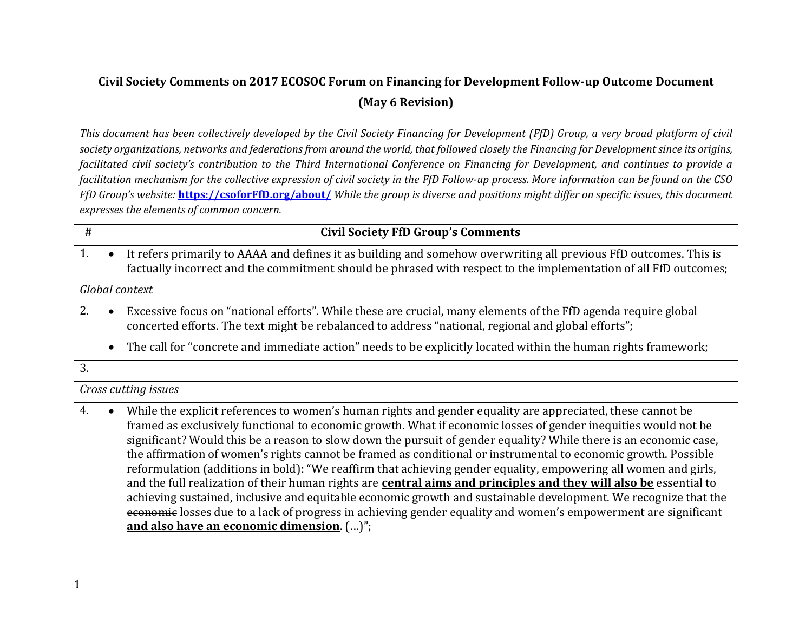## **Civil Society Comments on 2017 ECOSOC Forum on Financing for Development Follow-up Outcome Document (May 6 Revision)**

*This document has been collectively developed by the Civil Society Financing for Development (FfD) Group, a very broad platform of civil society organizations, networks and federations from around the world, that followed closely the Financing for Development since its origins, facilitated civil society's contribution to the Third International Conference on Financing for Development, and continues to provide a facilitation mechanism for the collective expression of civil society in the FfD Follow-up process. More information can be found on the CSO FfD Group's website:* **[https://csoforFfD.org/about/](https://csoforffd.org/about/)** *While the group is diverse and positions might differ on specific issues, this document expresses the elements of common concern.*

| #  |                      | <b>Civil Society FfD Group's Comments</b>                                                                                                                                                                                                                                                                                                                                                                                                                                                                                                                                                                                                                                                                                                                                                                                                                                                                                                                                                     |  |
|----|----------------------|-----------------------------------------------------------------------------------------------------------------------------------------------------------------------------------------------------------------------------------------------------------------------------------------------------------------------------------------------------------------------------------------------------------------------------------------------------------------------------------------------------------------------------------------------------------------------------------------------------------------------------------------------------------------------------------------------------------------------------------------------------------------------------------------------------------------------------------------------------------------------------------------------------------------------------------------------------------------------------------------------|--|
| 1. |                      | It refers primarily to AAAA and defines it as building and somehow overwriting all previous FfD outcomes. This is<br>factually incorrect and the commitment should be phrased with respect to the implementation of all FfD outcomes;                                                                                                                                                                                                                                                                                                                                                                                                                                                                                                                                                                                                                                                                                                                                                         |  |
|    |                      | Global context                                                                                                                                                                                                                                                                                                                                                                                                                                                                                                                                                                                                                                                                                                                                                                                                                                                                                                                                                                                |  |
| 2. |                      | Excessive focus on "national efforts". While these are crucial, many elements of the FfD agenda require global<br>concerted efforts. The text might be rebalanced to address "national, regional and global efforts";                                                                                                                                                                                                                                                                                                                                                                                                                                                                                                                                                                                                                                                                                                                                                                         |  |
|    |                      | The call for "concrete and immediate action" needs to be explicitly located within the human rights framework;                                                                                                                                                                                                                                                                                                                                                                                                                                                                                                                                                                                                                                                                                                                                                                                                                                                                                |  |
| 3. |                      |                                                                                                                                                                                                                                                                                                                                                                                                                                                                                                                                                                                                                                                                                                                                                                                                                                                                                                                                                                                               |  |
|    | Cross cutting issues |                                                                                                                                                                                                                                                                                                                                                                                                                                                                                                                                                                                                                                                                                                                                                                                                                                                                                                                                                                                               |  |
| 4. |                      | While the explicit references to women's human rights and gender equality are appreciated, these cannot be<br>framed as exclusively functional to economic growth. What if economic losses of gender inequities would not be<br>significant? Would this be a reason to slow down the pursuit of gender equality? While there is an economic case,<br>the affirmation of women's rights cannot be framed as conditional or instrumental to economic growth. Possible<br>reformulation (additions in bold): "We reaffirm that achieving gender equality, empowering all women and girls,<br>and the full realization of their human rights are central aims and principles and they will also be essential to<br>achieving sustained, inclusive and equitable economic growth and sustainable development. We recognize that the<br>economic losses due to a lack of progress in achieving gender equality and women's empowerment are significant<br>and also have an economic dimension. ()"; |  |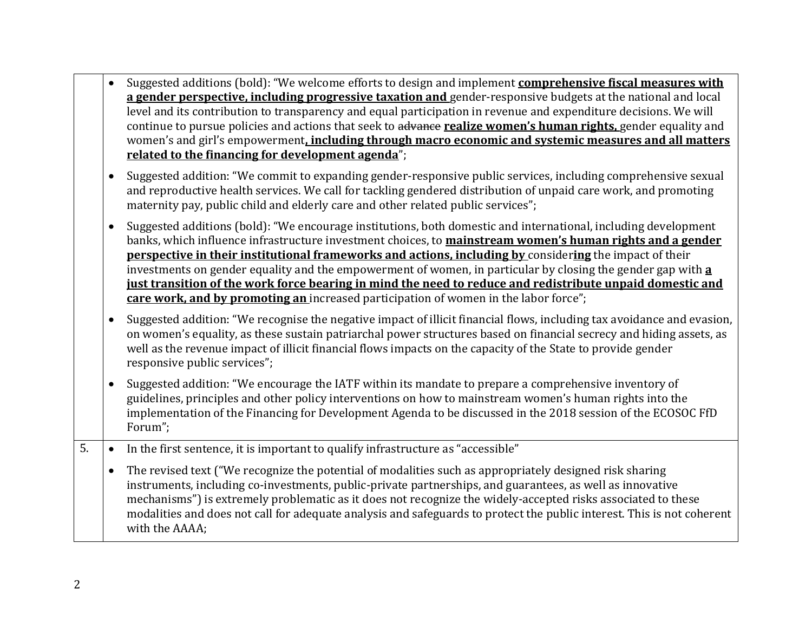|                  |           | Suggested additions (bold): "We welcome efforts to design and implement comprehensive fiscal measures with<br>a gender perspective, including progressive taxation and gender-responsive budgets at the national and local<br>level and its contribution to transparency and equal participation in revenue and expenditure decisions. We will<br>continue to pursue policies and actions that seek to advance realize women's human rights, gender equality and<br>women's and girl's empowerment, including through macro economic and systemic measures and all matters<br>related to the financing for development agenda";                            |
|------------------|-----------|------------------------------------------------------------------------------------------------------------------------------------------------------------------------------------------------------------------------------------------------------------------------------------------------------------------------------------------------------------------------------------------------------------------------------------------------------------------------------------------------------------------------------------------------------------------------------------------------------------------------------------------------------------|
|                  | $\bullet$ | Suggested addition: "We commit to expanding gender-responsive public services, including comprehensive sexual<br>and reproductive health services. We call for tackling gendered distribution of unpaid care work, and promoting<br>maternity pay, public child and elderly care and other related public services";                                                                                                                                                                                                                                                                                                                                       |
|                  |           | Suggested additions (bold): "We encourage institutions, both domestic and international, including development<br>banks, which influence infrastructure investment choices, to mainstream women's human rights and a gender<br>perspective in their institutional frameworks and actions, including by considering the impact of their<br>investments on gender equality and the empowerment of women, in particular by closing the gender gap with a<br>just transition of the work force bearing in mind the need to reduce and redistribute unpaid domestic and<br>care work, and by promoting an increased participation of women in the labor force"; |
|                  | $\bullet$ | Suggested addition: "We recognise the negative impact of illicit financial flows, including tax avoidance and evasion,<br>on women's equality, as these sustain patriarchal power structures based on financial secrecy and hiding assets, as<br>well as the revenue impact of illicit financial flows impacts on the capacity of the State to provide gender<br>responsive public services";                                                                                                                                                                                                                                                              |
|                  |           | Suggested addition: "We encourage the IATF within its mandate to prepare a comprehensive inventory of<br>guidelines, principles and other policy interventions on how to mainstream women's human rights into the<br>implementation of the Financing for Development Agenda to be discussed in the 2018 session of the ECOSOC FfD<br>Forum";                                                                                                                                                                                                                                                                                                               |
| $\overline{5}$ . |           | In the first sentence, it is important to qualify infrastructure as "accessible"                                                                                                                                                                                                                                                                                                                                                                                                                                                                                                                                                                           |
|                  | $\bullet$ | The revised text ("We recognize the potential of modalities such as appropriately designed risk sharing<br>instruments, including co-investments, public-private partnerships, and guarantees, as well as innovative<br>mechanisms") is extremely problematic as it does not recognize the widely-accepted risks associated to these<br>modalities and does not call for adequate analysis and safeguards to protect the public interest. This is not coherent<br>with the AAAA;                                                                                                                                                                           |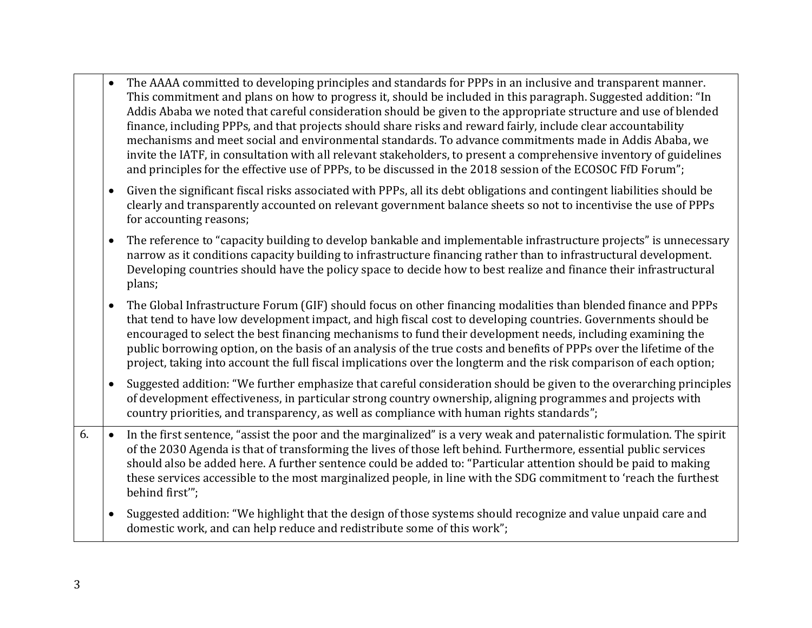- The AAAA committed to developing principles and standards for PPPs in an inclusive and transparent manner. This commitment and plans on how to progress it, should be included in this paragraph. Suggested addition: "In Addis Ababa we noted that careful consideration should be given to the appropriate structure and use of blended finance, including PPPs, and that projects should share risks and reward fairly, include clear accountability mechanisms and meet social and environmental standards. To advance commitments made in Addis Ababa, we invite the IATF, in consultation with all relevant stakeholders, to present a comprehensive inventory of guidelines and principles for the effective use of PPPs, to be discussed in the 2018 session of the ECOSOC FfD Forum";
- Given the significant fiscal risks associated with PPPs, all its debt obligations and contingent liabilities should be clearly and transparently accounted on relevant government balance sheets so not to incentivise the use of PPPs for accounting reasons;
- The reference to "capacity building to develop bankable and implementable infrastructure projects" is unnecessary narrow as it conditions capacity building to infrastructure financing rather than to infrastructural development. Developing countries should have the policy space to decide how to best realize and finance their infrastructural plans;
- The Global Infrastructure Forum (GIF) should focus on other financing modalities than blended finance and PPPs that tend to have low development impact, and high fiscal cost to developing countries. Governments should be encouraged to select the best financing mechanisms to fund their development needs, including examining the public borrowing option, on the basis of an analysis of the true costs and benefits of PPPs over the lifetime of the project, taking into account the full fiscal implications over the longterm and the risk comparison of each option;
- Suggested addition: "We further emphasize that careful consideration should be given to the overarching principles of development effectiveness, in particular strong country ownership, aligning programmes and projects with country priorities, and transparency, as well as compliance with human rights standards";
- 6.  $\bullet$  In the first sentence, "assist the poor and the marginalized" is a very weak and paternalistic formulation. The spirit of the 2030 Agenda is that of transforming the lives of those left behind. Furthermore, essential public services should also be added here. A further sentence could be added to: "Particular attention should be paid to making these services accessible to the most marginalized people, in line with the SDG commitment to 'reach the furthest behind first'";
	- Suggested addition: "We highlight that the design of those systems should recognize and value unpaid care and domestic work, and can help reduce and redistribute some of this work";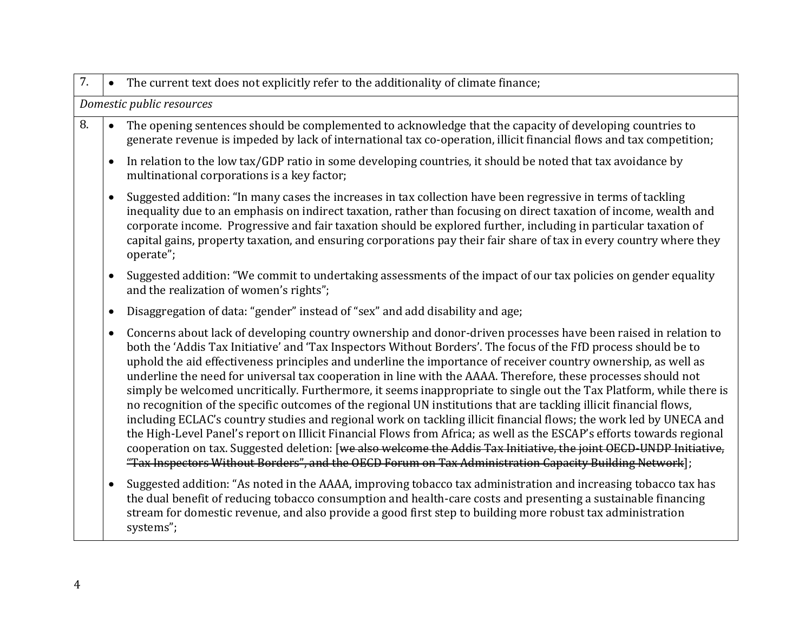| 7. | The current text does not explicitly refer to the additionality of climate finance;<br>$\bullet$                                                                                                                                                                                                                                                                                                                                                                                                                                                                                                                                                                                                                                                                                                                                                                                                                                                                                                                                                                                                                                                                                                 |
|----|--------------------------------------------------------------------------------------------------------------------------------------------------------------------------------------------------------------------------------------------------------------------------------------------------------------------------------------------------------------------------------------------------------------------------------------------------------------------------------------------------------------------------------------------------------------------------------------------------------------------------------------------------------------------------------------------------------------------------------------------------------------------------------------------------------------------------------------------------------------------------------------------------------------------------------------------------------------------------------------------------------------------------------------------------------------------------------------------------------------------------------------------------------------------------------------------------|
|    | Domestic public resources                                                                                                                                                                                                                                                                                                                                                                                                                                                                                                                                                                                                                                                                                                                                                                                                                                                                                                                                                                                                                                                                                                                                                                        |
| 8. | The opening sentences should be complemented to acknowledge that the capacity of developing countries to<br>generate revenue is impeded by lack of international tax co-operation, illicit financial flows and tax competition;                                                                                                                                                                                                                                                                                                                                                                                                                                                                                                                                                                                                                                                                                                                                                                                                                                                                                                                                                                  |
|    | In relation to the low tax/GDP ratio in some developing countries, it should be noted that tax avoidance by<br>multinational corporations is a key factor;                                                                                                                                                                                                                                                                                                                                                                                                                                                                                                                                                                                                                                                                                                                                                                                                                                                                                                                                                                                                                                       |
|    | Suggested addition: "In many cases the increases in tax collection have been regressive in terms of tackling<br>inequality due to an emphasis on indirect taxation, rather than focusing on direct taxation of income, wealth and<br>corporate income. Progressive and fair taxation should be explored further, including in particular taxation of<br>capital gains, property taxation, and ensuring corporations pay their fair share of tax in every country where they<br>operate";                                                                                                                                                                                                                                                                                                                                                                                                                                                                                                                                                                                                                                                                                                         |
|    | Suggested addition: "We commit to undertaking assessments of the impact of our tax policies on gender equality<br>and the realization of women's rights";                                                                                                                                                                                                                                                                                                                                                                                                                                                                                                                                                                                                                                                                                                                                                                                                                                                                                                                                                                                                                                        |
|    | Disaggregation of data: "gender" instead of "sex" and add disability and age;<br>$\bullet$                                                                                                                                                                                                                                                                                                                                                                                                                                                                                                                                                                                                                                                                                                                                                                                                                                                                                                                                                                                                                                                                                                       |
|    | Concerns about lack of developing country ownership and donor-driven processes have been raised in relation to<br>both the 'Addis Tax Initiative' and 'Tax Inspectors Without Borders'. The focus of the FfD process should be to<br>uphold the aid effectiveness principles and underline the importance of receiver country ownership, as well as<br>underline the need for universal tax cooperation in line with the AAAA. Therefore, these processes should not<br>simply be welcomed uncritically. Furthermore, it seems inappropriate to single out the Tax Platform, while there is<br>no recognition of the specific outcomes of the regional UN institutions that are tackling illicit financial flows,<br>including ECLAC's country studies and regional work on tackling illicit financial flows; the work led by UNECA and<br>the High-Level Panel's report on Illicit Financial Flows from Africa; as well as the ESCAP's efforts towards regional<br>cooperation on tax. Suggested deletion: [we also welcome the Addis Tax Initiative, the joint OECD-UNDP Initiative,<br>"Tax Inspectors Without Borders", and the OECD Forum on Tax Administration Capacity Building Network]; |
|    | Suggested addition: "As noted in the AAAA, improving tobacco tax administration and increasing tobacco tax has<br>the dual benefit of reducing tobacco consumption and health-care costs and presenting a sustainable financing<br>stream for domestic revenue, and also provide a good first step to building more robust tax administration<br>systems";                                                                                                                                                                                                                                                                                                                                                                                                                                                                                                                                                                                                                                                                                                                                                                                                                                       |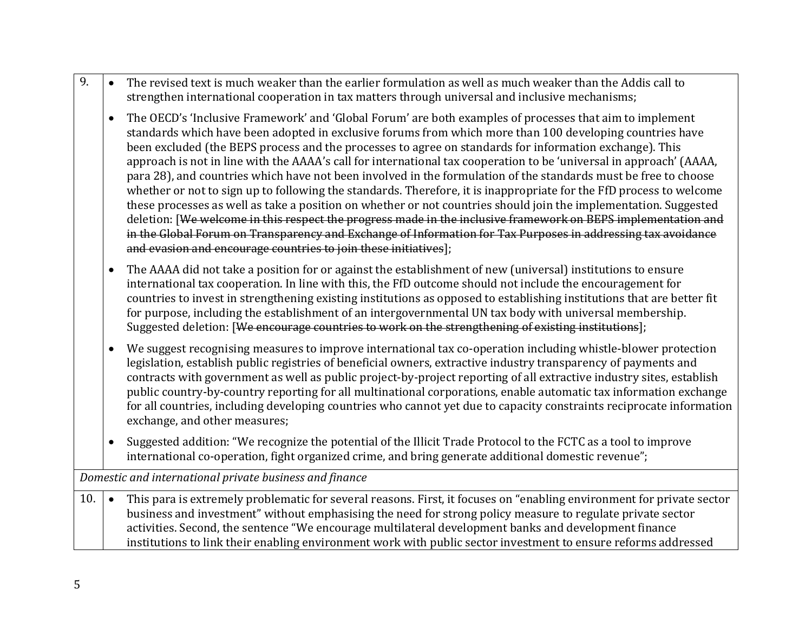- 9.  $\bullet$  The revised text is much weaker than the earlier formulation as well as much weaker than the Addis call to strengthen international cooperation in tax matters through universal and inclusive mechanisms;
	- The OECD's 'Inclusive Framework' and 'Global Forum' are both examples of processes that aim to implement standards which have been adopted in exclusive forums from which more than 100 developing countries have been excluded (the BEPS process and the processes to agree on standards for information exchange). This approach is not in line with the AAAA's call for international tax cooperation to be 'universal in approach' (AAAA, para 28), and countries which have not been involved in the formulation of the standards must be free to choose whether or not to sign up to following the standards. Therefore, it is inappropriate for the FfD process to welcome these processes as well as take a position on whether or not countries should join the implementation. Suggested deletion: [We welcome in this respect the progress made in the inclusive framework on BEPS implementation and in the Global Forum on Transparency and Exchange of Information for Tax Purposes in addressing tax avoidance and evasion and encourage countries to join these initiatives];
	- The AAAA did not take a position for or against the establishment of new (universal) institutions to ensure international tax cooperation. In line with this, the FfD outcome should not include the encouragement for countries to invest in strengthening existing institutions as opposed to establishing institutions that are better fit for purpose, including the establishment of an intergovernmental UN tax body with universal membership. Suggested deletion: [We encourage countries to work on the strengthening of existing institutions];
	- We suggest recognising measures to improve international tax co-operation including whistle-blower protection legislation, establish public registries of beneficial owners, extractive industry transparency of payments and contracts with government as well as public project-by-project reporting of all extractive industry sites, establish public country-by-country reporting for all multinational corporations, enable automatic tax information exchange for all countries, including developing countries who cannot yet due to capacity constraints reciprocate information exchange, and other measures;
	- Suggested addition: "We recognize the potential of the Illicit Trade Protocol to the FCTC as a tool to improve international co-operation, fight organized crime, and bring generate additional domestic revenue";

*Domestic and international private business and finance*

10.  $\bullet$  This para is extremely problematic for several reasons. First, it focuses on "enabling environment for private sector" business and investment" without emphasising the need for strong policy measure to regulate private sector activities. Second, the sentence "We encourage multilateral development banks and development finance institutions to link their enabling environment work with public sector investment to ensure reforms addressed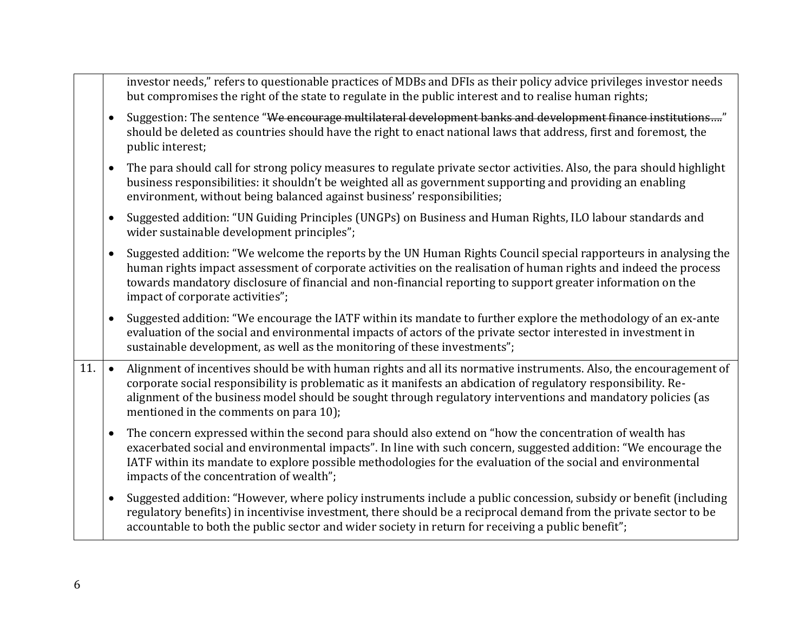|     | investor needs," refers to questionable practices of MDBs and DFIs as their policy advice privileges investor needs<br>but compromises the right of the state to regulate in the public interest and to realise human rights;                                                                                                                                                                              |  |
|-----|------------------------------------------------------------------------------------------------------------------------------------------------------------------------------------------------------------------------------------------------------------------------------------------------------------------------------------------------------------------------------------------------------------|--|
|     | Suggestion: The sentence "We encourage multilateral development banks and development finance institutions"<br>$\bullet$<br>should be deleted as countries should have the right to enact national laws that address, first and foremost, the<br>public interest;                                                                                                                                          |  |
|     | The para should call for strong policy measures to regulate private sector activities. Also, the para should highlight<br>$\bullet$<br>business responsibilities: it shouldn't be weighted all as government supporting and providing an enabling<br>environment, without being balanced against business' responsibilities;                                                                               |  |
|     | Suggested addition: "UN Guiding Principles (UNGPs) on Business and Human Rights, ILO labour standards and<br>$\bullet$<br>wider sustainable development principles";                                                                                                                                                                                                                                       |  |
|     | Suggested addition: "We welcome the reports by the UN Human Rights Council special rapporteurs in analysing the<br>$\bullet$<br>human rights impact assessment of corporate activities on the realisation of human rights and indeed the process<br>towards mandatory disclosure of financial and non-financial reporting to support greater information on the<br>impact of corporate activities";        |  |
|     | Suggested addition: "We encourage the IATF within its mandate to further explore the methodology of an ex-ante<br>$\bullet$<br>evaluation of the social and environmental impacts of actors of the private sector interested in investment in<br>sustainable development, as well as the monitoring of these investments";                                                                                 |  |
| 11. | Alignment of incentives should be with human rights and all its normative instruments. Also, the encouragement of<br>$\bullet$<br>corporate social responsibility is problematic as it manifests an abdication of regulatory responsibility. Re-<br>alignment of the business model should be sought through regulatory interventions and mandatory policies (as<br>mentioned in the comments on para 10); |  |
|     | The concern expressed within the second para should also extend on "how the concentration of wealth has<br>$\bullet$<br>exacerbated social and environmental impacts". In line with such concern, suggested addition: "We encourage the<br>IATF within its mandate to explore possible methodologies for the evaluation of the social and environmental<br>impacts of the concentration of wealth";        |  |
|     | Suggested addition: "However, where policy instruments include a public concession, subsidy or benefit (including<br>$\bullet$<br>regulatory benefits) in incentivise investment, there should be a reciprocal demand from the private sector to be<br>accountable to both the public sector and wider society in return for receiving a public benefit";                                                  |  |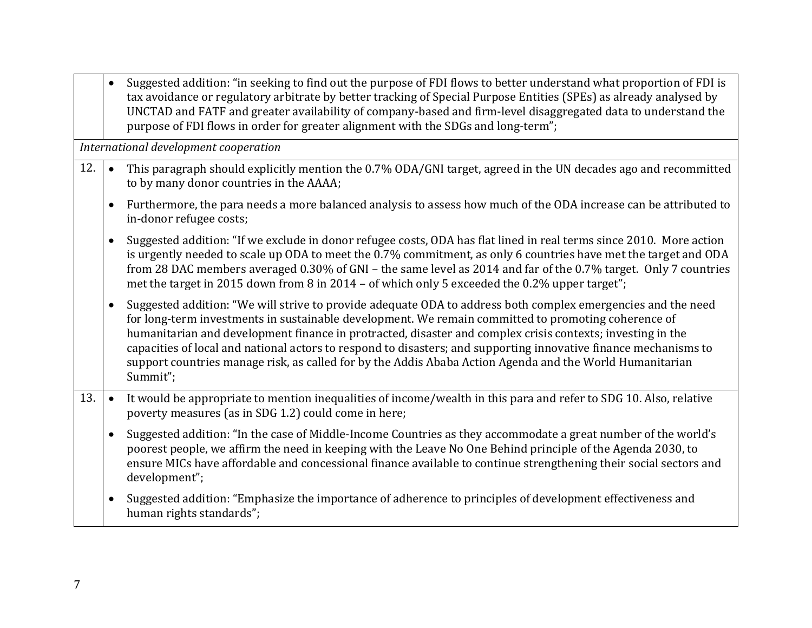|     |           | Suggested addition: "in seeking to find out the purpose of FDI flows to better understand what proportion of FDI is<br>tax avoidance or regulatory arbitrate by better tracking of Special Purpose Entities (SPEs) as already analysed by<br>UNCTAD and FATF and greater availability of company-based and firm-level disaggregated data to understand the<br>purpose of FDI flows in order for greater alignment with the SDGs and long-term";                                                                                                                               |
|-----|-----------|-------------------------------------------------------------------------------------------------------------------------------------------------------------------------------------------------------------------------------------------------------------------------------------------------------------------------------------------------------------------------------------------------------------------------------------------------------------------------------------------------------------------------------------------------------------------------------|
|     |           | International development cooperation                                                                                                                                                                                                                                                                                                                                                                                                                                                                                                                                         |
| 12. | $\bullet$ | This paragraph should explicitly mention the 0.7% ODA/GNI target, agreed in the UN decades ago and recommitted<br>to by many donor countries in the AAAA;                                                                                                                                                                                                                                                                                                                                                                                                                     |
|     | $\bullet$ | Furthermore, the para needs a more balanced analysis to assess how much of the ODA increase can be attributed to<br>in-donor refugee costs;                                                                                                                                                                                                                                                                                                                                                                                                                                   |
|     | $\bullet$ | Suggested addition: "If we exclude in donor refugee costs, ODA has flat lined in real terms since 2010. More action<br>is urgently needed to scale up ODA to meet the 0.7% commitment, as only 6 countries have met the target and ODA<br>from 28 DAC members averaged 0.30% of GNI - the same level as 2014 and far of the 0.7% target. Only 7 countries<br>met the target in 2015 down from 8 in 2014 – of which only 5 exceeded the 0.2% upper target";                                                                                                                    |
|     | $\bullet$ | Suggested addition: "We will strive to provide adequate ODA to address both complex emergencies and the need<br>for long-term investments in sustainable development. We remain committed to promoting coherence of<br>humanitarian and development finance in protracted, disaster and complex crisis contexts; investing in the<br>capacities of local and national actors to respond to disasters; and supporting innovative finance mechanisms to<br>support countries manage risk, as called for by the Addis Ababa Action Agenda and the World Humanitarian<br>Summit"; |
| 13. | $\bullet$ | It would be appropriate to mention inequalities of income/wealth in this para and refer to SDG 10. Also, relative<br>poverty measures (as in SDG 1.2) could come in here;                                                                                                                                                                                                                                                                                                                                                                                                     |
|     | $\bullet$ | Suggested addition: "In the case of Middle-Income Countries as they accommodate a great number of the world's<br>poorest people, we affirm the need in keeping with the Leave No One Behind principle of the Agenda 2030, to<br>ensure MICs have affordable and concessional finance available to continue strengthening their social sectors and<br>development";                                                                                                                                                                                                            |
|     | $\bullet$ | Suggested addition: "Emphasize the importance of adherence to principles of development effectiveness and<br>human rights standards";                                                                                                                                                                                                                                                                                                                                                                                                                                         |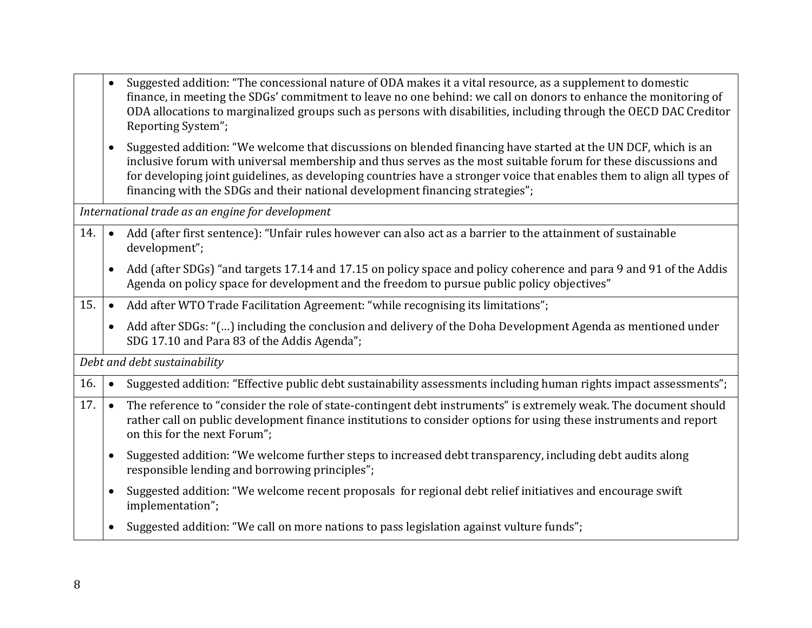|     |                              | Suggested addition: "The concessional nature of ODA makes it a vital resource, as a supplement to domestic<br>finance, in meeting the SDGs' commitment to leave no one behind: we call on donors to enhance the monitoring of<br>ODA allocations to marginalized groups such as persons with disabilities, including through the OECD DAC Creditor<br>Reporting System";                                                                   |  |
|-----|------------------------------|--------------------------------------------------------------------------------------------------------------------------------------------------------------------------------------------------------------------------------------------------------------------------------------------------------------------------------------------------------------------------------------------------------------------------------------------|--|
|     | $\bullet$                    | Suggested addition: "We welcome that discussions on blended financing have started at the UN DCF, which is an<br>inclusive forum with universal membership and thus serves as the most suitable forum for these discussions and<br>for developing joint guidelines, as developing countries have a stronger voice that enables them to align all types of<br>financing with the SDGs and their national development financing strategies"; |  |
|     |                              | International trade as an engine for development                                                                                                                                                                                                                                                                                                                                                                                           |  |
| 14. | $\bullet$                    | Add (after first sentence): "Unfair rules however can also act as a barrier to the attainment of sustainable<br>development";                                                                                                                                                                                                                                                                                                              |  |
|     |                              | Add (after SDGs) "and targets 17.14 and 17.15 on policy space and policy coherence and para 9 and 91 of the Addis<br>Agenda on policy space for development and the freedom to pursue public policy objectives"                                                                                                                                                                                                                            |  |
| 15. | $\bullet$                    | Add after WTO Trade Facilitation Agreement: "while recognising its limitations";                                                                                                                                                                                                                                                                                                                                                           |  |
|     | $\bullet$                    | Add after SDGs: "() including the conclusion and delivery of the Doha Development Agenda as mentioned under<br>SDG 17.10 and Para 83 of the Addis Agenda";                                                                                                                                                                                                                                                                                 |  |
|     | Debt and debt sustainability |                                                                                                                                                                                                                                                                                                                                                                                                                                            |  |
| 16. | $\bullet$                    | Suggested addition: "Effective public debt sustainability assessments including human rights impact assessments";                                                                                                                                                                                                                                                                                                                          |  |
| 17. | $\bullet$                    | The reference to "consider the role of state-contingent debt instruments" is extremely weak. The document should<br>rather call on public development finance institutions to consider options for using these instruments and report<br>on this for the next Forum";                                                                                                                                                                      |  |
|     | $\bullet$                    | Suggested addition: "We welcome further steps to increased debt transparency, including debt audits along<br>responsible lending and borrowing principles";                                                                                                                                                                                                                                                                                |  |
|     | $\bullet$                    | Suggested addition: "We welcome recent proposals for regional debt relief initiatives and encourage swift<br>implementation";                                                                                                                                                                                                                                                                                                              |  |
|     | $\bullet$                    | Suggested addition: "We call on more nations to pass legislation against vulture funds";                                                                                                                                                                                                                                                                                                                                                   |  |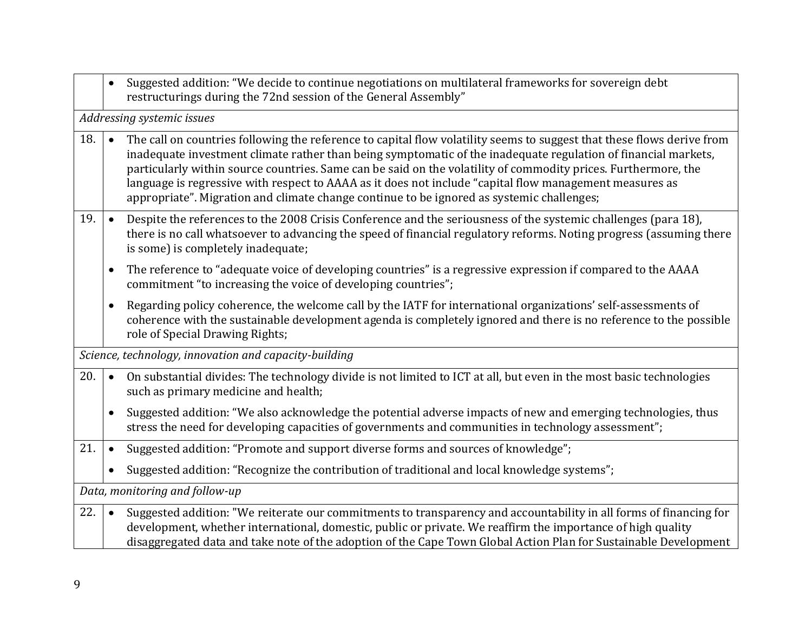|     | $\bullet$                      | Suggested addition: "We decide to continue negotiations on multilateral frameworks for sovereign debt<br>restructurings during the 72nd session of the General Assembly"                                                                                                                                                                                                                                                                                                                                                                                           |  |
|-----|--------------------------------|--------------------------------------------------------------------------------------------------------------------------------------------------------------------------------------------------------------------------------------------------------------------------------------------------------------------------------------------------------------------------------------------------------------------------------------------------------------------------------------------------------------------------------------------------------------------|--|
|     |                                | Addressing systemic issues                                                                                                                                                                                                                                                                                                                                                                                                                                                                                                                                         |  |
| 18. | $\bullet$                      | The call on countries following the reference to capital flow volatility seems to suggest that these flows derive from<br>inadequate investment climate rather than being symptomatic of the inadequate regulation of financial markets,<br>particularly within source countries. Same can be said on the volatility of commodity prices. Furthermore, the<br>language is regressive with respect to AAAA as it does not include "capital flow management measures as<br>appropriate". Migration and climate change continue to be ignored as systemic challenges; |  |
| 19. | $\bullet$                      | Despite the references to the 2008 Crisis Conference and the seriousness of the systemic challenges (para 18),<br>there is no call whatsoever to advancing the speed of financial regulatory reforms. Noting progress (assuming there<br>is some) is completely inadequate;                                                                                                                                                                                                                                                                                        |  |
|     | $\bullet$                      | The reference to "adequate voice of developing countries" is a regressive expression if compared to the AAAA<br>commitment "to increasing the voice of developing countries";                                                                                                                                                                                                                                                                                                                                                                                      |  |
|     | $\bullet$                      | Regarding policy coherence, the welcome call by the IATF for international organizations' self-assessments of<br>coherence with the sustainable development agenda is completely ignored and there is no reference to the possible<br>role of Special Drawing Rights;                                                                                                                                                                                                                                                                                              |  |
|     |                                | Science, technology, innovation and capacity-building                                                                                                                                                                                                                                                                                                                                                                                                                                                                                                              |  |
| 20. | $\bullet$                      | On substantial divides: The technology divide is not limited to ICT at all, but even in the most basic technologies<br>such as primary medicine and health;                                                                                                                                                                                                                                                                                                                                                                                                        |  |
|     | $\bullet$                      | Suggested addition: "We also acknowledge the potential adverse impacts of new and emerging technologies, thus<br>stress the need for developing capacities of governments and communities in technology assessment";                                                                                                                                                                                                                                                                                                                                               |  |
| 21. | $\bullet$                      | Suggested addition: "Promote and support diverse forms and sources of knowledge";                                                                                                                                                                                                                                                                                                                                                                                                                                                                                  |  |
|     | $\bullet$                      | Suggested addition: "Recognize the contribution of traditional and local knowledge systems";                                                                                                                                                                                                                                                                                                                                                                                                                                                                       |  |
|     | Data, monitoring and follow-up |                                                                                                                                                                                                                                                                                                                                                                                                                                                                                                                                                                    |  |
| 22. | $\bullet$                      | Suggested addition: "We reiterate our commitments to transparency and accountability in all forms of financing for<br>development, whether international, domestic, public or private. We reaffirm the importance of high quality<br>disaggregated data and take note of the adoption of the Cape Town Global Action Plan for Sustainable Development                                                                                                                                                                                                              |  |